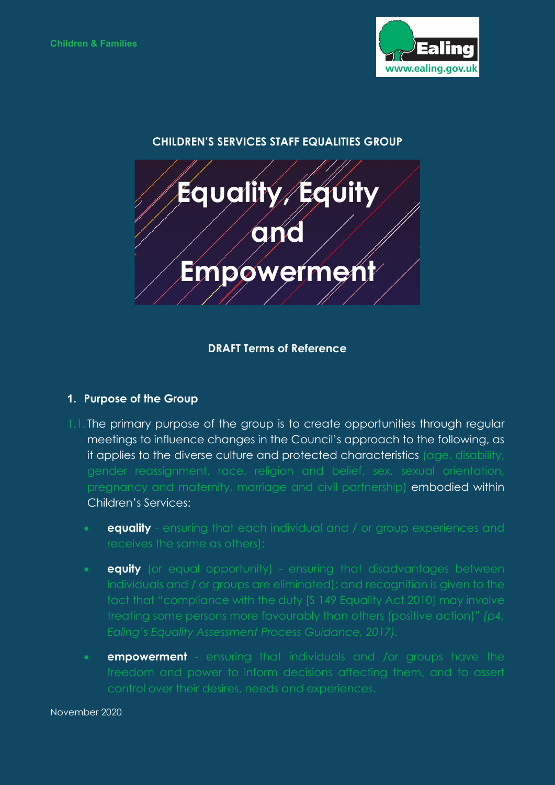

# **CHILDREN'S SERVICES STAFF EQUALITIES GROUP**



### **DRAFT Terms of Reference**

#### **1. Purpose of the Group**

- 1.1. The primary purpose of the group is to create opportunities through regular meetings to influence changes in the Council's approach to the following, as it applies to the diverse culture and protected characteristics (age, disability, pregnancy and maternity, marriage and civil partnership) embodied within Children's Services:
	- **equality** ensuring that each individual and / or group experiences and
	- **equity** (or equal opportunity) ensuring that disadvantages between *Ealing's Equality Assessment Process Guidance, 2017).*
	- **empowerment** ensuring that individuals and /or groups have the control over their desires, needs and experiences.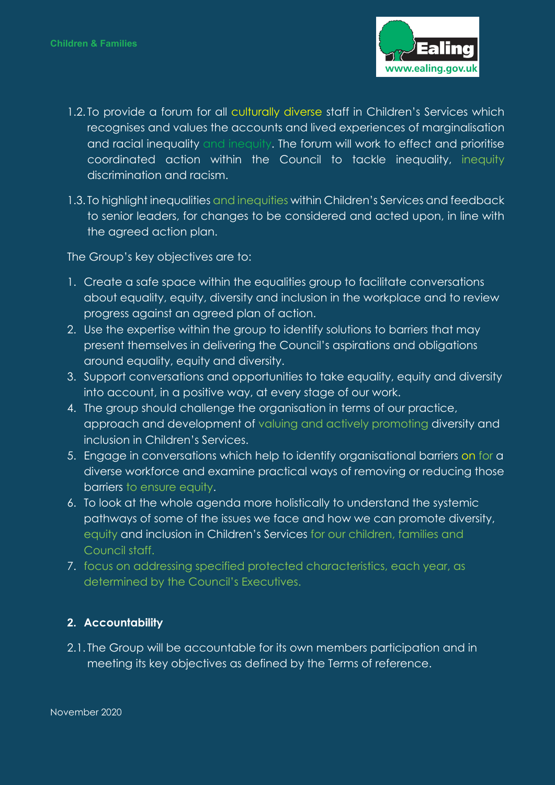

- 1.2. To provide a forum for all culturally diverse staff in Children's Services which recognises and values the accounts and lived experiences of marginalisation and racial inequality and inequity. The forum will work to effect and prioritise coordinated action within the Council to tackle inequality, inequity discrimination and racism.
- 1.3. To highlight inequalities and inequities within Children's Services and feedback to senior leaders, for changes to be considered and acted upon, in line with the agreed action plan.

The Group's key objectives are to:

- 1. Create a safe space within the equalities group to facilitate conversations about equality, equity, diversity and inclusion in the workplace and to review progress against an agreed plan of action.
- 2. Use the expertise within the group to identify solutions to barriers that may present themselves in delivering the Council's aspirations and obligations around equality, equity and diversity.
- 3. Support conversations and opportunities to take equality, equity and diversity into account, in a positive way, at every stage of our work.
- 4. The group should challenge the organisation in terms of our practice, approach and development of valuing and actively promoting diversity and inclusion in Children's Services.
- 5. Engage in conversations which help to identify organisational barriers on for a diverse workforce and examine practical ways of removing or reducing those barriers to ensure equity.
- 6. To look at the whole agenda more holistically to understand the systemic pathways of some of the issues we face and how we can promote diversity, equity and inclusion in Children's Services for our children, families and Council staff.
- 7. focus on addressing specified protected characteristics, each year, as determined by the Council's Executives.

## **2. Accountability**

2.1. The Group will be accountable for its own members participation and in meeting its key objectives as defined by the Terms of reference.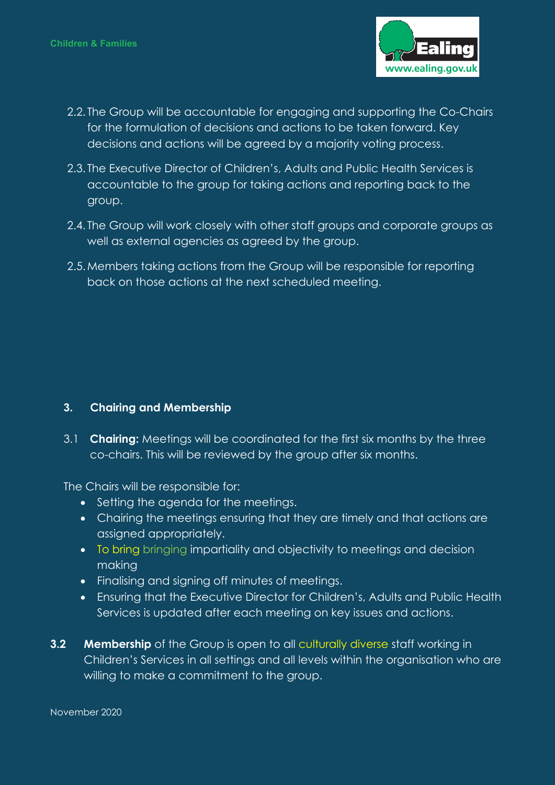

- 2.2. The Group will be accountable for engaging and supporting the Co-Chairs for the formulation of decisions and actions to be taken forward. Key decisions and actions will be agreed by a majority voting process.
- 2.3. The Executive Director of Children's, Adults and Public Health Services is accountable to the group for taking actions and reporting back to the group.
- 2.4. The Group will work closely with other staff groups and corporate groups as well as external agencies as agreed by the group.
- 2.5.Members taking actions from the Group will be responsible for reporting back on those actions at the next scheduled meeting.

#### **3. Chairing and Membership**

3.1 **Chairing:** Meetings will be coordinated for the first six months by the three co-chairs. This will be reviewed by the group after six months.

The Chairs will be responsible for:

- Setting the agenda for the meetings.
- Chairing the meetings ensuring that they are timely and that actions are assigned appropriately.
- To bring bringing impartiality and objectivity to meetings and decision making
- Finalising and signing off minutes of meetings.
- Ensuring that the Executive Director for Children's, Adults and Public Health Services is updated after each meeting on key issues and actions.
- **3.2 Membership** of the Group is open to all culturally diverse staff working in Children's Services in all settings and all levels within the organisation who are willing to make a commitment to the group.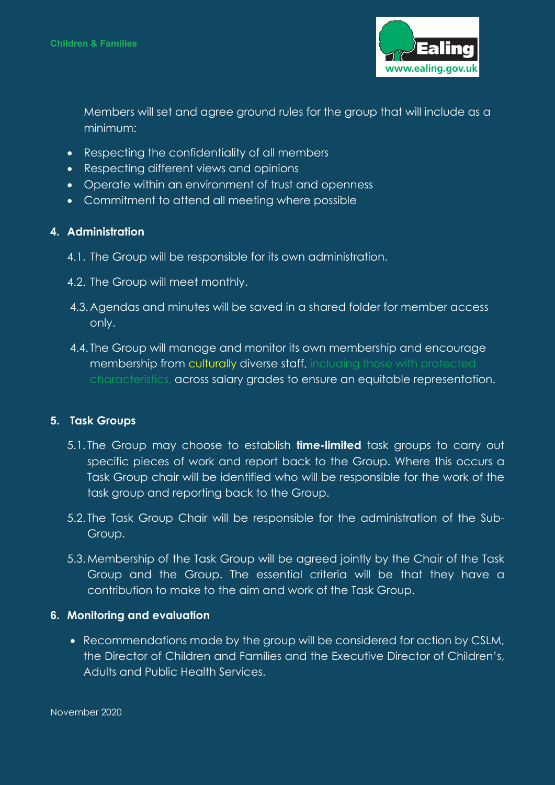

Members will set and agree ground rules for the group that will include as a minimum:

- Respecting the confidentiality of all members
- Respecting different views and opinions
- Operate within an environment of trust and openness
- Commitment to attend all meeting where possible

#### **4. Administration**

- 4.1. The Group will be responsible for its own administration.
- 4.2. The Group will meet monthly.
- 4.3.Agendas and minutes will be saved in a shared folder for member access only.
- 4.4. The Group will manage and monitor its own membership and encourage membership from culturally diverse staff, including those with protected characteristics, across salary grades to ensure an equitable representation.

#### **5. Task Groups**

- 5.1. The Group may choose to establish **time-limited** task groups to carry out specific pieces of work and report back to the Group. Where this occurs a Task Group chair will be identified who will be responsible for the work of the task group and reporting back to the Group.
- 5.2. The Task Group Chair will be responsible for the administration of the Sub-Group.
- 5.3.Membership of the Task Group will be agreed jointly by the Chair of the Task Group and the Group. The essential criteria will be that they have a contribution to make to the aim and work of the Task Group.

#### **6. Monitoring and evaluation**

• Recommendations made by the group will be considered for action by CSLM, the Director of Children and Families and the Executive Director of Children's, Adults and Public Health Services.